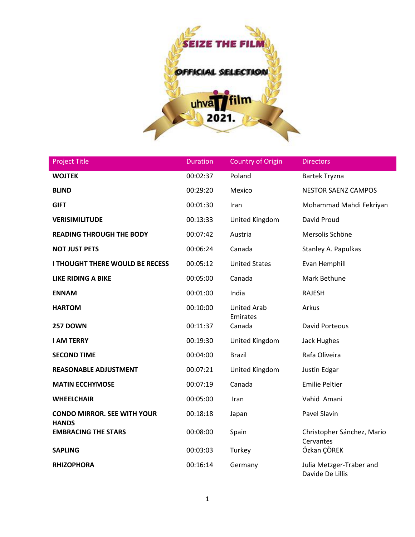

| <b>Project Title</b>                               | <b>Duration</b> | <b>Country of Origin</b>       | <b>Directors</b>                             |
|----------------------------------------------------|-----------------|--------------------------------|----------------------------------------------|
| <b>WOJTEK</b>                                      | 00:02:37        | Poland                         | <b>Bartek Tryzna</b>                         |
| <b>BLIND</b>                                       | 00:29:20        | Mexico                         | <b>NESTOR SAENZ CAMPOS</b>                   |
| <b>GIFT</b>                                        | 00:01:30        | Iran                           | Mohammad Mahdi Fekriyan                      |
| <b>VERISIMILITUDE</b>                              | 00:13:33        | United Kingdom                 | David Proud                                  |
| <b>READING THROUGH THE BODY</b>                    | 00:07:42        | Austria                        | Mersolis Schöne                              |
| <b>NOT JUST PETS</b>                               | 00:06:24        | Canada                         | Stanley A. Papulkas                          |
| I THOUGHT THERE WOULD BE RECESS                    | 00:05:12        | <b>United States</b>           | Evan Hemphill                                |
| <b>LIKE RIDING A BIKE</b>                          | 00:05:00        | Canada                         | Mark Bethune                                 |
| <b>ENNAM</b>                                       | 00:01:00        | India                          | <b>RAJESH</b>                                |
| <b>HARTOM</b>                                      | 00:10:00        | <b>United Arab</b><br>Emirates | Arkus                                        |
| <b>257 DOWN</b>                                    | 00:11:37        | Canada                         | <b>David Porteous</b>                        |
| <b>I AM TERRY</b>                                  | 00:19:30        | United Kingdom                 | Jack Hughes                                  |
| <b>SECOND TIME</b>                                 | 00:04:00        | <b>Brazil</b>                  | Rafa Oliveira                                |
| <b>REASONABLE ADJUSTMENT</b>                       | 00:07:21        | United Kingdom                 | Justin Edgar                                 |
| <b>MATIN ECCHYMOSE</b>                             | 00:07:19        | Canada                         | <b>Emilie Peltier</b>                        |
| <b>WHEELCHAIR</b>                                  | 00:05:00        | Iran                           | Vahid Amani                                  |
| <b>CONDO MIRROR. SEE WITH YOUR</b><br><b>HANDS</b> | 00:18:18        | Japan                          | Pavel Slavin                                 |
| <b>EMBRACING THE STARS</b>                         | 00:08:00        | Spain                          | Christopher Sánchez, Mario<br>Cervantes      |
| <b>SAPLING</b>                                     | 00:03:03        | Turkey                         | Özkan ÇÖREK                                  |
| <b>RHIZOPHORA</b>                                  | 00:16:14        | Germany                        | Julia Metzger-Traber and<br>Davide De Lillis |